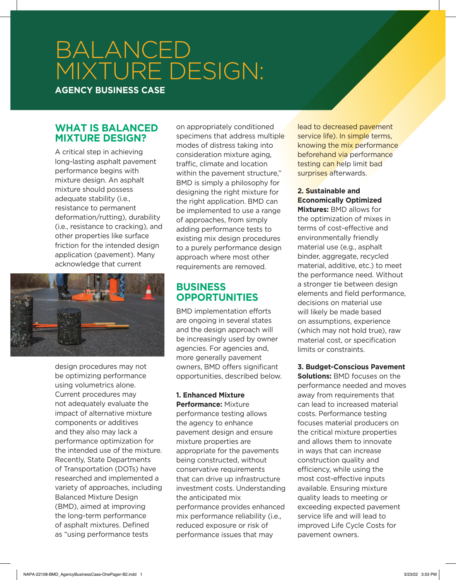# BALANCED MIXTURE DESIGN:

**AGENCY BUSINESS CASE**

## **WHAT IS BALANCED MIXTURE DESIGN?**

A critical step in achieving long-lasting asphalt pavement performance begins with mixture design. An asphalt mixture should possess adequate stability (i.e., resistance to permanent deformation/rutting), durability (i.e., resistance to cracking), and other properties like surface friction for the intended design application (pavement). Many acknowledge that current



design procedures may not be optimizing performance using volumetrics alone. Current procedures may not adequately evaluate the impact of alternative mixture components or additives and they also may lack a performance optimization for the intended use of the mixture. Recently, State Departments of Transportation (DOTs) have researched and implemented a variety of approaches, including Balanced Mixture Design (BMD), aimed at improving the long-term performance of asphalt mixtures. Defined as "using performance tests

on appropriately conditioned specimens that address multiple modes of distress taking into consideration mixture aging, traffic, climate and location within the pavement structure," BMD is simply a philosophy for designing the right mixture for the right application. BMD can be implemented to use a range of approaches, from simply adding performance tests to existing mix design procedures to a purely performance design approach where most other requirements are removed.

# **BUSINESS OPPORTUNITIES**

BMD implementation efforts are ongoing in several states and the design approach will be increasingly used by owner agencies. For agencies and, more generally pavement owners, BMD offers significant opportunities, described below.

#### **1. Enhanced Mixture Performance:** Mixture

performance testing allows the agency to enhance pavement design and ensure mixture properties are appropriate for the pavements being constructed, without conservative requirements that can drive up infrastructure investment costs. Understanding the anticipated mix performance provides enhanced mix performance reliability (i.e., reduced exposure or risk of performance issues that may

lead to decreased pavement service life). In simple terms, knowing the mix performance beforehand via performance testing can help limit bad surprises afterwards.

### **2. Sustainable and Economically Optimized**

**Mixtures:** BMD allows for the optimization of mixes in terms of cost-effective and environmentally friendly material use (e.g., asphalt binder, aggregate, recycled material, additive, etc.) to meet the performance need. Without a stronger tie between design elements and field performance, decisions on material use will likely be made based on assumptions, experience (which may not hold true), raw material cost, or specification limits or constraints.

**3. Budget-Conscious Pavement Solutions:** BMD focuses on the performance needed and moves away from requirements that can lead to increased material costs. Performance testing focuses material producers on the critical mixture properties and allows them to innovate in ways that can increase construction quality and efficiency, while using the most cost-effective inputs available. Ensuring mixture quality leads to meeting or exceeding expected pavement service life and will lead to improved Life Cycle Costs for pavement owners.